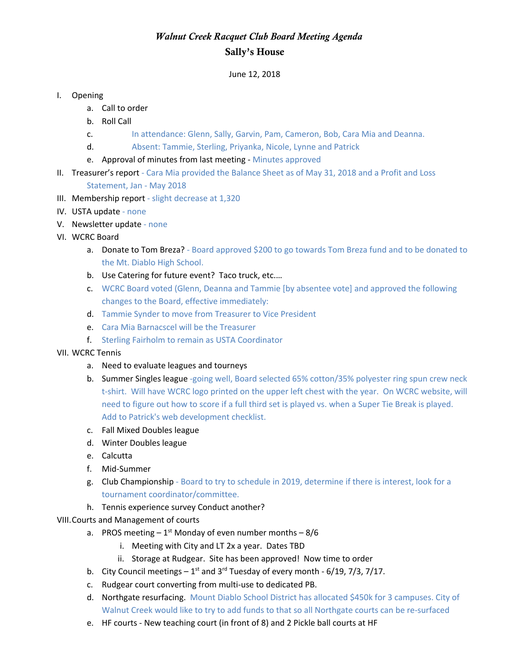## *Walnut Creek Racquet Club Board Meeting Agenda* Sally's House

June 12, 2018

## I. Opening

- a. Call to order
- b. Roll Call
- c. In attendance: Glenn, Sally, Garvin, Pam, Cameron, Bob, Cara Mia and Deanna.
- d. Absent: Tammie, Sterling, Priyanka, Nicole, Lynne and Patrick
- e. Approval of minutes from last meeting Minutes approved
- II. Treasurer's report Cara Mia provided the Balance Sheet as of May 31, 2018 and a Profit and Loss Statement, Jan - May 2018
- III. Membership report slight decrease at 1,320
- IV. USTA update none
- V. Newsletter update none
- VI. WCRC Board
	- a. Donate to Tom Breza? Board approved \$200 to go towards Tom Breza fund and to be donated to the Mt. Diablo High School.
	- b. Use Catering for future event? Taco truck, etc.…
	- c. WCRC Board voted (Glenn, Deanna and Tammie [by absentee vote] and approved the following changes to the Board, effective immediately:
	- d. Tammie Synder to move from Treasurer to Vice President
	- e. Cara Mia Barnacscel will be the Treasurer
	- f. Sterling Fairholm to remain as USTA Coordinator

## VII. WCRC Tennis

- a. Need to evaluate leagues and tourneys
- b. Summer Singles league -going well, Board selected 65% cotton/35% polyester ring spun crew neck t-shirt. Will have WCRC logo printed on the upper left chest with the year. On WCRC website, will need to figure out how to score if a full third set is played vs. when a Super Tie Break is played. Add to Patrick's web development checklist.
- c. Fall Mixed Doubles league
- d. Winter Doubles league
- e. Calcutta
- f. Mid-Summer
- g. Club Championship Board to try to schedule in 2019, determine if there is interest, look for a tournament coordinator/committee.
- h. Tennis experience survey Conduct another?

## VIII.Courts and Management of courts

- a. PROS meeting  $-1^{st}$  Monday of even number months  $-8/6$ 
	- i. Meeting with City and LT 2x a year. Dates TBD
	- ii. Storage at Rudgear. Site has been approved! Now time to order
- b. City Council meetings  $-1^{st}$  and 3<sup>rd</sup> Tuesday of every month 6/19, 7/3, 7/17.
- c. Rudgear court converting from multi-use to dedicated PB.
- d. Northgate resurfacing. Mount Diablo School District has allocated \$450k for 3 campuses. City of Walnut Creek would like to try to add funds to that so all Northgate courts can be re-surfaced
- e. HF courts New teaching court (in front of 8) and 2 Pickle ball courts at HF